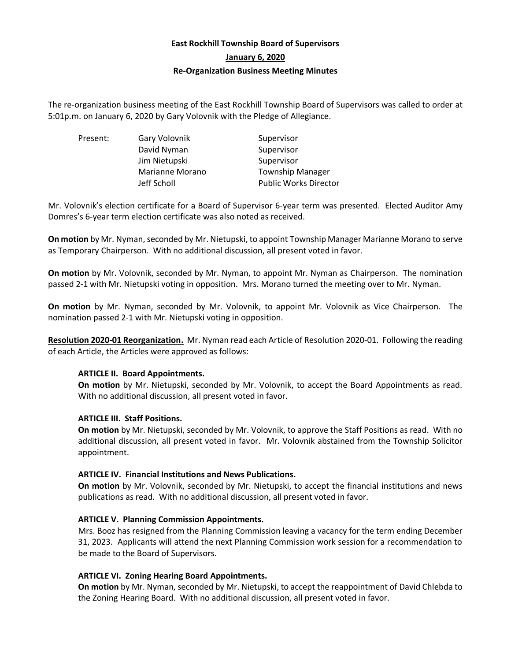# **East Rockhill Township Board of Supervisors January 6, 2020 Re-Organization Business Meeting Minutes**

The re-organization business meeting of the East Rockhill Township Board of Supervisors was called to order at 5:01p.m. on January 6, 2020 by Gary Volovnik with the Pledge of Allegiance.

Present: Gary Volovnik Supervisor David Nyman Supervisor Jim Nietupski Supervisor Marianne Morano Township Manager

Jeff Scholl Public Works Director

Mr. Volovnik's election certificate for a Board of Supervisor 6-year term was presented. Elected Auditor Amy Domres's 6-year term election certificate was also noted as received.

**On motion** by Mr. Nyman, seconded by Mr. Nietupski, to appoint Township Manager Marianne Morano to serve as Temporary Chairperson. With no additional discussion, all present voted in favor.

**On motion** by Mr. Volovnik, seconded by Mr. Nyman, to appoint Mr. Nyman as Chairperson. The nomination passed 2-1 with Mr. Nietupski voting in opposition. Mrs. Morano turned the meeting over to Mr. Nyman.

**On motion** by Mr. Nyman, seconded by Mr. Volovnik, to appoint Mr. Volovnik as Vice Chairperson. The nomination passed 2-1 with Mr. Nietupski voting in opposition.

**Resolution 2020-01 Reorganization.** Mr. Nyman read each Article of Resolution 2020-01. Following the reading of each Article, the Articles were approved as follows:

# **ARTICLE II. Board Appointments.**

**On motion** by Mr. Nietupski, seconded by Mr. Volovnik, to accept the Board Appointments as read. With no additional discussion, all present voted in favor.

# **ARTICLE III. Staff Positions.**

**On motion** by Mr. Nietupski, seconded by Mr. Volovnik, to approve the Staff Positions as read. With no additional discussion, all present voted in favor. Mr. Volovnik abstained from the Township Solicitor appointment.

# **ARTICLE IV. Financial Institutions and News Publications.**

**On motion** by Mr. Volovnik, seconded by Mr. Nietupski, to accept the financial institutions and news publications as read. With no additional discussion, all present voted in favor.

# **ARTICLE V. Planning Commission Appointments.**

Mrs. Booz has resigned from the Planning Commission leaving a vacancy for the term ending December 31, 2023. Applicants will attend the next Planning Commission work session for a recommendation to be made to the Board of Supervisors.

# **ARTICLE VI. Zoning Hearing Board Appointments.**

**On motion** by Mr. Nyman, seconded by Mr. Nietupski, to accept the reappointment of David Chlebda to the Zoning Hearing Board. With no additional discussion, all present voted in favor.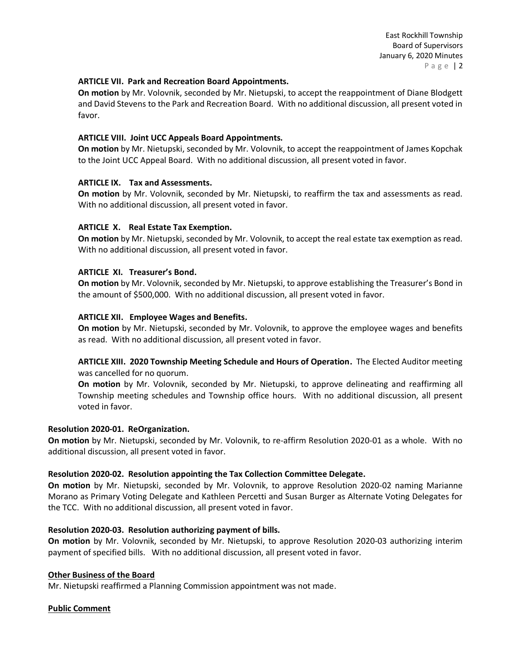#### **ARTICLE VII. Park and Recreation Board Appointments.**

**On motion** by Mr. Volovnik, seconded by Mr. Nietupski, to accept the reappointment of Diane Blodgett and David Stevens to the Park and Recreation Board. With no additional discussion, all present voted in favor.

### **ARTICLE VIII. Joint UCC Appeals Board Appointments.**

**On motion** by Mr. Nietupski, seconded by Mr. Volovnik, to accept the reappointment of James Kopchak to the Joint UCC Appeal Board. With no additional discussion, all present voted in favor.

#### **ARTICLE IX. Tax and Assessments.**

**On motion** by Mr. Volovnik, seconded by Mr. Nietupski, to reaffirm the tax and assessments as read. With no additional discussion, all present voted in favor.

#### **ARTICLE X. Real Estate Tax Exemption.**

**On motion** by Mr. Nietupski, seconded by Mr. Volovnik, to accept the real estate tax exemption as read. With no additional discussion, all present voted in favor.

#### **ARTICLE XI. Treasurer's Bond.**

**On motion** by Mr. Volovnik, seconded by Mr. Nietupski, to approve establishing the Treasurer's Bond in the amount of \$500,000. With no additional discussion, all present voted in favor.

#### **ARTICLE XII. Employee Wages and Benefits.**

**On motion** by Mr. Nietupski, seconded by Mr. Volovnik, to approve the employee wages and benefits as read. With no additional discussion, all present voted in favor.

**ARTICLE XIII. 2020 Township Meeting Schedule and Hours of Operation.** The Elected Auditor meeting was cancelled for no quorum.

**On motion** by Mr. Volovnik, seconded by Mr. Nietupski, to approve delineating and reaffirming all Township meeting schedules and Township office hours. With no additional discussion, all present voted in favor.

#### **Resolution 2020-01. ReOrganization.**

**On motion** by Mr. Nietupski, seconded by Mr. Volovnik, to re-affirm Resolution 2020-01 as a whole. With no additional discussion, all present voted in favor.

#### **Resolution 2020-02. Resolution appointing the Tax Collection Committee Delegate.**

**On motion** by Mr. Nietupski, seconded by Mr. Volovnik, to approve Resolution 2020-02 naming Marianne Morano as Primary Voting Delegate and Kathleen Percetti and Susan Burger as Alternate Voting Delegates for the TCC. With no additional discussion, all present voted in favor.

#### **Resolution 2020-03. Resolution authorizing payment of bills.**

**On motion** by Mr. Volovnik, seconded by Mr. Nietupski, to approve Resolution 2020-03 authorizing interim payment of specified bills. With no additional discussion, all present voted in favor.

#### **Other Business of the Board**

Mr. Nietupski reaffirmed a Planning Commission appointment was not made.

# **Public Comment**